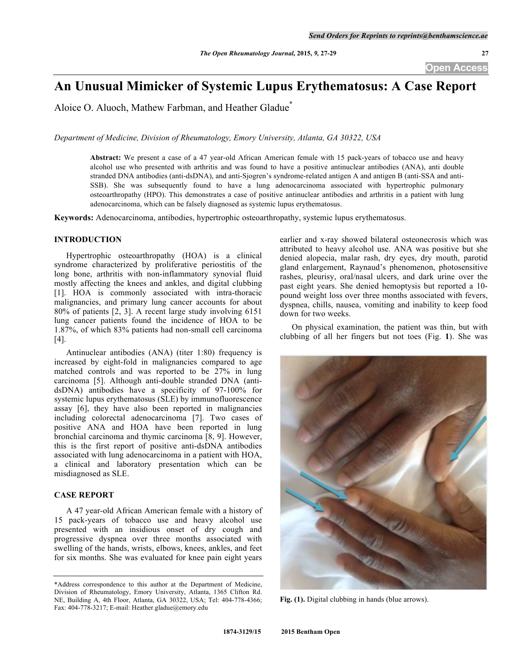# **An Unusual Mimicker of Systemic Lupus Erythematosus: A Case Report**

Aloice O. Aluoch, Mathew Farbman, and Heather Gladue\*

*Department of Medicine, Division of Rheumatology, Emory University, Atlanta, GA 30322, USA*

**Abstract:** We present a case of a 47 year-old African American female with 15 pack-years of tobacco use and heavy alcohol use who presented with arthritis and was found to have a positive antinuclear antibodies (ANA), anti double stranded DNA antibodies (anti-dsDNA), and anti-Sjogren's syndrome-related antigen A and antigen B (anti-SSA and anti-SSB). She was subsequently found to have a lung adenocarcinoma associated with hypertrophic pulmonary osteoarthropathy (HPO). This demonstrates a case of positive antinuclear antibodies and arthritis in a patient with lung adenocarcinoma, which can be falsely diagnosed as systemic lupus erythematosus.

**Keywords:** Adenocarcinoma, antibodies, hypertrophic osteoarthropathy, systemic lupus erythematosus.

## **INTRODUCTION**

Hypertrophic osteoarthropathy (HOA) is a clinical syndrome characterized by proliferative periostitis of the long bone, arthritis with non-inflammatory synovial fluid mostly affecting the knees and ankles, and digital clubbing [1]. HOA is commonly associated with intra-thoracic malignancies, and primary lung cancer accounts for about 80% of patients [2, 3]. A recent large study involving 6151 lung cancer patients found the incidence of HOA to be 1.87%, of which 83% patients had non-small cell carcinoma [4].

Antinuclear antibodies (ANA) (titer 1:80) frequency is increased by eight-fold in malignancies compared to age matched controls and was reported to be 27% in lung carcinoma [5]. Although anti-double stranded DNA (antidsDNA) antibodies have a specificity of 97-100% for systemic lupus erythematosus (SLE) by immunofluorescence assay [6], they have also been reported in malignancies including colorectal adenocarcinoma [7]. Two cases of positive ANA and HOA have been reported in lung bronchial carcinoma and thymic carcinoma [8, 9]. However, this is the first report of positive anti-dsDNA antibodies associated with lung adenocarcinoma in a patient with HOA, a clinical and laboratory presentation which can be misdiagnosed as SLE.

# **CASE REPORT**

A 47 year-old African American female with a history of 15 pack-years of tobacco use and heavy alcohol use presented with an insidious onset of dry cough and progressive dyspnea over three months associated with swelling of the hands, wrists, elbows, knees, ankles, and feet for six months. She was evaluated for knee pain eight years

earlier and x-ray showed bilateral osteonecrosis which was attributed to heavy alcohol use. ANA was positive but she denied alopecia, malar rash, dry eyes, dry mouth, parotid gland enlargement, Raynaud's phenomenon, photosensitive rashes, pleurisy, oral/nasal ulcers, and dark urine over the past eight years. She denied hemoptysis but reported a 10 pound weight loss over three months associated with fevers, dyspnea, chills, nausea, vomiting and inability to keep food down for two weeks.

On physical examination, the patient was thin, but with clubbing of all her fingers but not toes (Fig. **1**). She was



**Fig. (1).** Digital clubbing in hands (blue arrows).

<sup>\*</sup>Address correspondence to this author at the Department of Medicine, Division of Rheumatology, Emory University, Atlanta, 1365 Clifton Rd. NE, Building A, 4th Floor, Atlanta, GA 30322, USA; Tel: 404-778-4366; Fax: 404-778-3217; E-mail: Heather.gladue@emory.edu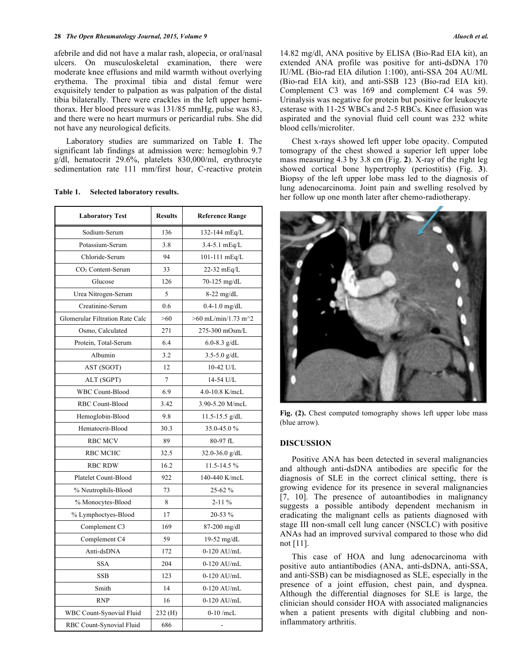#### **28** *The Open Rheumatology Journal, 2015, Volume 9 Aluoch et al.*

afebrile and did not have a malar rash, alopecia, or oral/nasal ulcers. On musculoskeletal examination, there were moderate knee effusions and mild warmth without overlying erythema. The proximal tibia and distal femur were exquisitely tender to palpation as was palpation of the distal tibia bilaterally. There were crackles in the left upper hemithorax. Her blood pressure was 131/85 mmHg, pulse was 83, and there were no heart murmurs or pericardial rubs. She did not have any neurological deficits.

Laboratory studies are summarized on Table **1**. The significant lab findings at admission were: hemoglobin 9.7 g/dl, hematocrit 29.6%, platelets 830,000/ml, erythrocyte sedimentation rate 111 mm/first hour, C-reactive protein

| <b>Laboratory Test</b>          | <b>Results</b> | <b>Reference Range</b>                             |
|---------------------------------|----------------|----------------------------------------------------|
| Sodium-Serum                    | 136            | 132-144 mEq/L                                      |
| Potassium-Serum                 | 3.8            | $3.4 - 5.1$ mEq/L                                  |
| Chloride-Serum                  | 94             | 101-111 mEq/L                                      |
| $CO2$ Content-Serum             | 33             | 22-32 mEq/L                                        |
| Glucose                         | 126            | 70-125 mg/dL                                       |
| Urea Nitrogen-Serum             | 5              | $8-22$ mg/dL                                       |
| Creatinine-Serum                | 0.6            | $0.4 - 1.0$ mg/dL                                  |
| Glomerular Filtration Rate Calc | >60            | $>60$ mL/min/1.73 m <sup><math>\sim</math></sup> 2 |
| Osmo, Calculated                | 271            | 275-300 mOsm/L                                     |
| Protein, Total-Serum            | 6.4            | 6.0-8.3 $g/dL$                                     |
| Albumin                         | 3.2            | $3.5 - 5.0$ g/dL                                   |
| AST (SGOT)                      | 12             | 10-42 U/L                                          |
| ALT (SGPT)                      | $\overline{7}$ | 14-54 U/L                                          |
| <b>WBC Count-Blood</b>          | 6.9            | 4.0-10.8 K/mcL                                     |
| RBC Count-Blood                 | 3.42           | 3.90-5.20 M/mcL                                    |
| Hemoglobin-Blood                | 9.8            | $11.5 - 15.5$ g/dL                                 |
| Hematocrit-Blood                | 30.3           | 35.0-45.0%                                         |
| <b>RBC MCV</b>                  | 89             | 80-97 fL                                           |
| <b>RBC MCHC</b>                 | 32.5           | $32.0 - 36.0$ g/dL                                 |
| <b>RBC RDW</b>                  | 16.2           | 11.5-14.5%                                         |
| Platelet Count-Blood            | 922            | 140-440 K/mcL                                      |
| % Neutrophils-Blood             | 73             | 25-62 %                                            |
| % Monocytes-Blood               | 8              | $2 - 11\%$                                         |
| % Lymphoctyes-Blood             | 17             | 20-53 %                                            |
| Complement C3                   | 169            | 87-200 mg/dl                                       |
| Complement C4                   | 59             | 19-52 mg/dL                                        |
| Anti-dsDNA                      | 172            | $0-120$ AU/mL                                      |
| <b>SSA</b>                      | 204            | $0-120$ AU/mL                                      |
| <b>SSB</b>                      | 123            | 0-120 AU/mL                                        |
| Smith                           | 14             | 0-120 AU/mL                                        |
| <b>RNP</b>                      | 16             | 0-120 AU/mL                                        |
| WBC Count-Synovial Fluid        | 232(H)         | $0-10$ /mcL                                        |
| RBC Count-Synovial Fluid        | 686            |                                                    |

**Table 1. Selected laboratory results.**

14.82 mg/dl, ANA positive by ELISA (Bio-Rad EIA kit), an extended ANA profile was positive for anti-dsDNA 170 IU/ML (Bio-rad EIA dilution 1:100), anti-SSA 204 AU/ML (Bio-rad EIA kit), and anti-SSB 123 (Bio-rad EIA kit). Complement C3 was 169 and complement C4 was 59. Urinalysis was negative for protein but positive for leukocyte esterase with 11-25 WBCs and 2-5 RBCs. Knee effusion was aspirated and the synovial fluid cell count was 232 white blood cells/microliter.

Chest x-rays showed left upper lobe opacity. Computed tomograpy of the chest showed a superior left upper lobe mass measuring 4.3 by 3.8 cm (Fig. **2**). X-ray of the right leg showed cortical bone hypertrophy (periostitis) (Fig. **3**). Biopsy of the left upper lobe mass led to the diagnosis of lung adenocarcinoma. Joint pain and swelling resolved by her follow up one month later after chemo-radiotherapy.



Fig. (2). Chest computed tomography shows left upper lobe mass (blue arrow).

## **DISCUSSION**

Positive ANA has been detected in several malignancies and although anti-dsDNA antibodies are specific for the diagnosis of SLE in the correct clinical setting, there is growing evidence for its presence in several malignancies [7, 10]. The presence of autoantibodies in malignancy suggests a possible antibody dependent mechanism in eradicating the malignant cells as patients diagnosed with stage III non-small cell lung cancer (NSCLC) with positive ANAs had an improved survival compared to those who did not [11].

This case of HOA and lung adenocarcinoma with positive auto antiantibodies (ANA, anti-dsDNA, anti-SSA, and anti-SSB) can be misdiagnosed as SLE, especially in the presence of a joint effusion, chest pain, and dyspnea. Although the differential diagnoses for SLE is large, the clinician should consider HOA with associated malignancies when a patient presents with digital clubbing and noninflammatory arthritis.